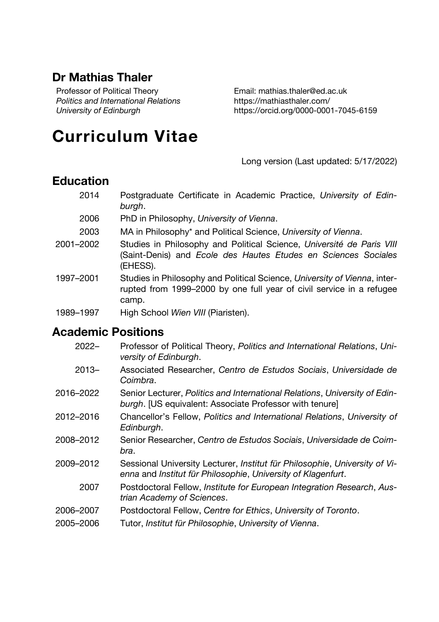## **Dr Mathias Thaler**

Professor of Political Theory *Politics and International Relations University of Edinburgh*

Email: mathias.thaler@ed.ac.uk <https://mathiasthaler.com/> https://orcid.org/0000-0001-7045-6159

# **Curriculum Vitae**

Long version (Last updated: 5/17/2022)

## **Education**

- 2014 Postgraduate Certificate in Academic Practice, *University of Edinburgh*.
- 2006 PhD in Philosophy, *University of Vienna*.
- 2003 MA in Philosophy\* and Political Science, *University of Vienna*.
- 2001–2002 Studies in Philosophy and Political Science, *Université de Paris VIII*  (Saint-Denis) and *Ecole des Hautes Etudes en Sciences Sociales*  (EHESS).
- 1997–2001 Studies in Philosophy and Political Science, *University of Vienna*, interrupted from 1999–2000 by one full year of civil service in a refugee camp.
- 1989–1997 High School *Wien VIII* (Piaristen).

## **Academic Positions**

- 2022– Professor of Political Theory, *Politics and International Relations*, *University of Edinburgh*.
- 2013– Associated Researcher, *Centro de Estudos Sociais*, *Universidade de Coimbra*.
- 2016–2022 Senior Lecturer, *Politics and International Relations*, *University of Edinburgh*. [US equivalent: Associate Professor with tenure]
- 2012–2016 Chancellor's Fellow, *Politics and International Relations*, *University of Edinburgh*.
- 2008–2012 Senior Researcher, *Centro de Estudos Sociais*, *Universidade de Coimbra*.
- 2009–2012 Sessional University Lecturer, *Institut für Philosophie*, *University of Vienna* and *Institut für Philosophie*, *University of Klagenfurt*.
	- 2007 Postdoctoral Fellow, *Institute for European Integration Research*, *Austrian Academy of Sciences*.
- 2006–2007 Postdoctoral Fellow, *Centre for Ethics*, *University of Toronto*.
- 2005–2006 Tutor, *Institut für Philosophie*, *University of Vienna*.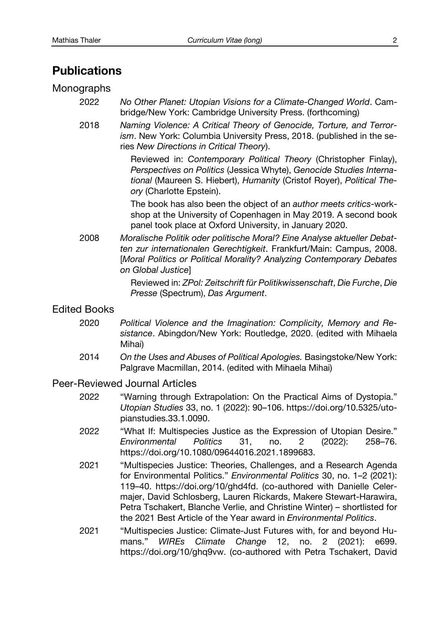## **Publications**

#### Monographs

- 2022 *No Other Planet: Utopian Visions for a Climate-Changed World*. Cambridge/New York: Cambridge University Press. (forthcoming)
- 2018 *Naming Violence: A Critical Theory of Genocide, Torture, and Terrorism*. New York: Columbia University Press, 2018. (published in the series *New Directions in Critical Theory*).

Reviewed in: *Contemporary Political Theory* (Christopher Finlay), *Perspectives on Politics* (Jessica Whyte), *Genocide Studies International* (Maureen S. Hiebert), *Humanity* (Cristof Royer), *Political Theory* (Charlotte Epstein).

The book has also been the object of an *author meets critics*-workshop at the University of Copenhagen in May 2019. A second book panel took place at Oxford University, in January 2020.

2008 *Moralische Politik oder politische Moral? Eine Analyse aktueller Debatten zur internationalen Gerechtigkeit*. Frankfurt/Main: Campus, 2008. [*Moral Politics or Political Morality? Analyzing Contemporary Debates on Global Justice*]

> Reviewed in: *ZPol: Zeitschrift für Politikwissenschaft*, *Die Furche*, *Die Presse* (Spectrum), *Das Argument*.

#### Edited Books

- 2020 *Political Violence and the Imagination: Complicity, Memory and Resistance*. Abingdon/New York: Routledge, 2020. (edited with Mihaela Mihai)
- 2014 *On the Uses and Abuses of Political Apologies.* Basingstoke/New York: Palgrave Macmillan, 2014. (edited with Mihaela Mihai)

#### Peer-Reviewed Journal Articles

- 2022 "Warning through Extrapolation: On the Practical Aims of Dystopia." *Utopian Studies* 33, no. 1 (2022): 90–106. [https://doi.org/10.5325/ut](https://doi.org/10.5325/utopianstudies.33.1.0090)o[pianstudies.33.1.0090](https://doi.org/10.5325/utopianstudies.33.1.0090).
- 2022 "What If: Multispecies Justice as the Expression of Utopian Desire." *Environmental Politics* 31, no. 2 (2022): 258–76. <https://doi.org/10.1080/09644016.2021.1899683>.
- 2021 "Multispecies Justice: Theories, Challenges, and a Research Agenda for Environmental Politics." *Environmental Politics* 30, no. 1–2 (2021): 119–40. <https://doi.org/10/ghd4fd>. (co-authored with Danielle Celermajer, David Schlosberg, Lauren Rickards, Makere Stewart-Harawira, Petra Tschakert, Blanche Verlie, and Christine Winter) – shortlisted for the 2021 Best Article of the Year award in *Environmental Politics*.
- 2021 "Multispecies Justice: Climate-Just Futures with, for and beyond Humans." *WIREs Climate Change* 12, no. 2 (2021): e699. <https://doi.org/10/ghq9vw>. (co-authored with Petra Tschakert, David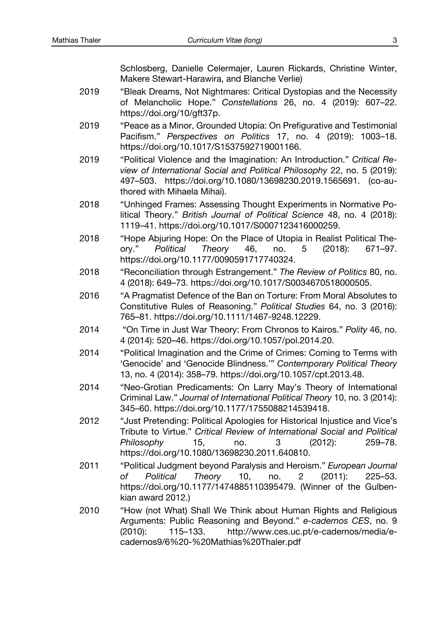Schlosberg, Danielle Celermajer, Lauren Rickards, Christine Winter, Makere Stewart‐Harawira, and Blanche Verlie)

- 2019 "Bleak Dreams, Not Nightmares: Critical Dystopias and the Necessity of Melancholic Hope." *Constellations* 26, no. 4 (2019): 607–22. <https://doi.org/10/gft37p>.
- 2019 "Peace as a Minor, Grounded Utopia: On Prefigurative and Testimonial Pacifism." *Perspectives on Politics* 17, no. 4 (2019): 1003–18. <https://doi.org/10.1017/S1537592719001166>.
- 2019 "Political Violence and the Imagination: An Introduction." *Critical Review of International Social and Political Philosophy* 22, no. 5 (2019): 497–503. <https://doi.org/10.1080/13698230.2019.1565691>. (co-authored with Mihaela Mihai).
- 2018 "Unhinged Frames: Assessing Thought Experiments in Normative Political Theory." *British Journal of Political Science* 48, no. 4 (2018): 1119–41.<https://doi.org/10.1017/S0007123416000259>.
- 2018 "Hope Abjuring Hope: On the Place of Utopia in Realist Political Theory." *Political Theory* 46, no. 5 (2018): 671–97. <https://doi.org/10.1177/0090591717740324>.
- 2018 "Reconciliation through Estrangement." *The Review of Politics* 80, no. 4 (2018): 649–73.<https://doi.org/10.1017/S0034670518000505>.
- 2016 "A Pragmatist Defence of the Ban on Torture: From Moral Absolutes to Constitutive Rules of Reasoning." *Political Studies* 64, no. 3 (2016): 765–81. <https://doi.org/10.1111/1467-9248.12229>.
- 2014 "On Time in Just War Theory: From Chronos to Kairos." *Polity* 46, no. 4 (2014): 520–46.<https://doi.org/10.1057/pol.2014.20>.
- 2014 "Political Imagination and the Crime of Crimes: Coming to Terms with 'Genocide' and 'Genocide Blindness.'" *Contemporary Political Theory* 13, no. 4 (2014): 358–79.<https://doi.org/10.1057/cpt.2013.48>.
- 2014 "Neo-Grotian Predicaments: On Larry May's Theory of International Criminal Law." *Journal of International Political Theory* 10, no. 3 (2014): 345–60. <https://doi.org/10.1177/1755088214539418>.
- 2012 "Just Pretending: Political Apologies for Historical Injustice and Vice's Tribute to Virtue." *Critical Review of International Social and Political Philosophy* 15, no. 3 (2012): 259–78. <https://doi.org/10.1080/13698230.2011.640810>.
- 2011 "Political Judgment beyond Paralysis and Heroism." *European Journal of Political Theory* 10, no. 2 (2011): 225–53. <https://doi.org/10.1177/1474885110395479>. (Winner of the Gulbenkian award 2012.)
- 2010 "How (not What) Shall We Think about Human Rights and Religious Arguments: Public Reasoning and Beyond." *e-cadernos CES*, no. 9 (2010): 115–133. [http://www.ces.uc.pt/e-cadernos/media/](http://www.ces.uc.pt/e-cadernos/media/ecadernos9/6 - Mathias Thaler.pdf)e[cadernos9/6%20-%20Mathias%20Thaler.pdf](http://www.ces.uc.pt/e-cadernos/media/ecadernos9/6 - Mathias Thaler.pdf)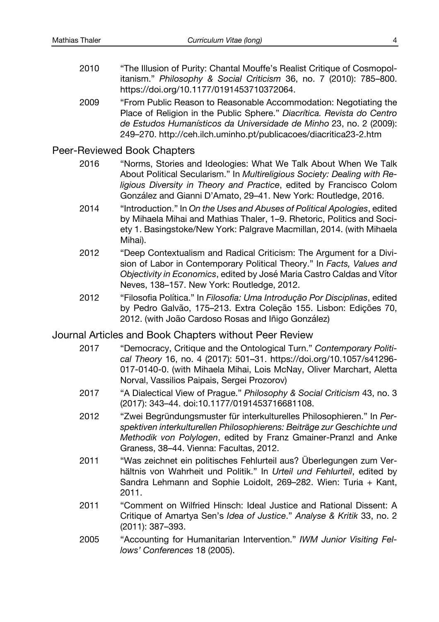- 2010 "The Illusion of Purity: Chantal Mouffe's Realist Critique of Cosmopolitanism." *Philosophy & Social Criticism* 36, no. 7 (2010): 785–800. <https://doi.org/10.1177/0191453710372064>.
- 2009 "From Public Reason to Reasonable Accommodation: Negotiating the Place of Religion in the Public Sphere." *Diacrítica. Revista do Centro de Estudos Humanísticos da Universidade de Minho* 23, no. 2 (2009): 249–270. <http://ceh.ilch.uminho.pt/publicacoes/diacritica23-2.htm>

#### Peer-Reviewed Book Chapters

- 2016 "Norms, Stories and Ideologies: What We Talk About When We Talk About Political Secularism." In *Multireligious Society: Dealing with Religious Diversity in Theory and Practice*, edited by Francisco Colom González and Gianni D'Amato, 29–41. New York: Routledge, 2016.
- 2014 "Introduction." In *On the Uses and Abuses of Political Apologies*, edited by Mihaela Mihai and Mathias Thaler, 1–9. Rhetoric, Politics and Society 1. Basingstoke/New York: Palgrave Macmillan, 2014. (with Mihaela Mihai).
- 2012 "Deep Contextualism and Radical Criticism: The Argument for a Division of Labor in Contemporary Political Theory." In *Facts, Values and Objectivity in Economics*, edited by José Maria Castro Caldas and Vítor Neves, 138–157. New York: Routledge, 2012.
- 2012 "Filosofia Política." In *Filosofia: Uma Introdução Por Disciplinas*, edited by Pedro Galvão, 175–213. Extra Coleção 155. Lisbon: Edições 70, 2012. (with João Cardoso Rosas and Iñigo González)

#### Journal Articles and Book Chapters without Peer Review

- 2017 "Democracy, Critique and the Ontological Turn." *Contemporary Political Theory* 16, no. 4 (2017): 501–31. [https://doi.org/10.1057/s41296](https://doi.org/10.1057/s41296-017-0140-0)- [017-0140-0](https://doi.org/10.1057/s41296-017-0140-0). (with Mihaela Mihai, Lois McNay, Oliver Marchart, Aletta Norval, Vassilios Paipais, Sergei Prozorov)
- 2017 "A Dialectical View of Prague." *Philosophy & Social Criticism* 43, no. 3 (2017): 343–44. doi:10.1177/0191453716681108.
- 2012 "Zwei Begründungsmuster für interkulturelles Philosophieren." In *Perspektiven interkulturellen Philosophierens: Beiträge zur Geschichte und Methodik von Polylogen*, edited by Franz Gmainer-Pranzl and Anke Graness, 38–44. Vienna: Facultas, 2012.
- 2011 "Was zeichnet ein politisches Fehlurteil aus? Überlegungen zum Verhältnis von Wahrheit und Politik." In *Urteil und Fehlurteil*, edited by Sandra Lehmann and Sophie Loidolt, 269–282. Wien: Turia + Kant, 2011.
- 2011 "Comment on Wilfried Hinsch: Ideal Justice and Rational Dissent: A Critique of Amartya Sen's *Idea of Justice*." *Analyse & Kritik* 33, no. 2 (2011): 387–393.
- 2005 ["Accounting for Humanitarian Intervention](http://www.iwm.at/index.php?option=com_content&task=view&id=227&Itemid=276)." *IWM Junior Visiting Fellows' Conferences* 18 (2005).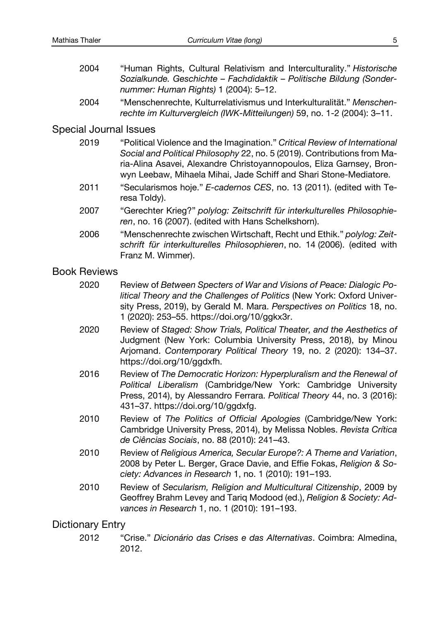- 2004 "Human Rights, Cultural Relativism and Interculturality." *Historische Sozialkunde. Geschichte – Fachdidaktik – Politische Bildung (Sondernummer: Human Rights)* 1 (2004): 5–12.
- 2004 "Menschenrechte, Kulturrelativismus und Interkulturalität." *Menschenrechte im Kulturvergleich (IWK-Mitteilungen)* 59, no. 1-2 (2004): 3–11.

#### Special Journal Issues

| 2019 | "Political Violence and the Imagination." Critical Review of International<br>Social and Political Philosophy 22, no. 5 (2019). Contributions from Ma-<br>ria-Alina Asavei, Alexandre Christoyannopoulos, Eliza Garnsey, Bron-<br>wyn Leebaw, Mihaela Mihai, Jade Schiff and Shari Stone-Mediatore. |
|------|-----------------------------------------------------------------------------------------------------------------------------------------------------------------------------------------------------------------------------------------------------------------------------------------------------|
| 2011 | "Secularismos hoje." E-cadernos CES, no. 13 (2011). (edited with Te-<br>resa Toldy).                                                                                                                                                                                                                |
| 2007 | "Gerechter Krieg?" polylog: Zeitschrift für interkulturelles Philosophie-<br>ren, no. 16 (2007). (edited with Hans Schelkshorn).                                                                                                                                                                    |
| 2006 | "Menschenrechte zwischen Wirtschaft, Recht und Ethik." polylog: Zeit-<br>schrift für interkulturelles Philosophieren, no. 14 (2006). (edited with<br>Franz M. Wimmer).                                                                                                                              |
|      |                                                                                                                                                                                                                                                                                                     |

#### Book Reviews

| 2020 | Review of Between Specters of War and Visions of Peace: Dialogic Po-    |
|------|-------------------------------------------------------------------------|
|      | litical Theory and the Challenges of Politics (New York: Oxford Univer- |
|      | sity Press, 2019), by Gerald M. Mara. Perspectives on Politics 18, no.  |
|      | 1 (2020): 253–55. https://doi.org/10/ggkx3r.                            |
|      |                                                                         |

- 2020 Review of *Staged: Show Trials, Political Theater, and the Aesthetics of*  Judgment (New York: Columbia University Press, 2018), by Minou Arjomand. *Contemporary Political Theory* 19, no. 2 (2020): 134–37. <https://doi.org/10/ggdxfh>.
- 2016 Review of *The Democratic Horizon: Hyperpluralism and the Renewal of Political Liberalism* (Cambridge/New York: Cambridge University Press, 2014), by Alessandro Ferrara. *Political Theory* 44, no. 3 (2016): 431–37. <https://doi.org/10/ggdxfg>.
- 2010 Review of *The Politics of Official Apologies* (Cambridge/New York: Cambridge University Press, 2014), by Melissa Nobles. *Revista Crítica de Ciências Sociais*, no. 88 (2010): 241–43.
- 2010 Review of *Religious America, Secular Europe?: A Theme and Variation*, 2008 by Peter L. Berger, Grace Davie, and Effie Fokas, *Religion & Society: Advances in Research* 1, no. 1 (2010): 191–193.
- 2010 Review of *Secularism, Religion and Multicultural Citizenship*, 2009 by Geoffrey Brahm Levey and Tariq Modood (ed.), *Religion & Society: Advances in Research* 1, no. 1 (2010): 191–193.

### Dictionary Entry

2012 "Crise." *Dicionário das Crises e das Alternativas*. Coimbra: Almedina, 2012.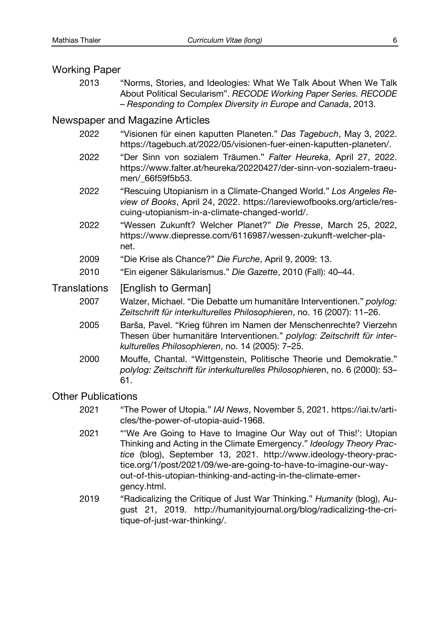#### Working Paper

2013 "Norms, Stories, and Ideologies: What We Talk About When We Talk About Political Secularism". *RECODE Working Paper Series. RECODE – Responding to Complex Diversity in Europe and Canada*, 2013.

### Newspaper and Magazine Articles

- 2022 "Visionen für einen kaputten Planeten." *Das Tagebuch*, May 3, 2022. <https://tagebuch.at/2022/05/visionen-fuer-einen-kaputten-planeten/>.
- 2022 "Der Sinn von sozialem Träumen." *Falter Heureka*, April 27, 2022. [https://www.falter.at/heureka/20220427/der-sinn-von-sozialem-trae](mailto:https://www.falter.at/heureka/20220427/der-sinn-von-sozialem-traeumen/_66f59f5b53)u[men/\\_66f59f5b53](mailto:https://www.falter.at/heureka/20220427/der-sinn-von-sozialem-traeumen/_66f59f5b53).
- 2022 "Rescuing Utopianism in a Climate-Changed World." *Los Angeles Review of Books*, April 24, 2022. [https://lareviewofbooks.org/article/re](https://lareviewofbooks.org/article/rescuing-utopianism-in-a-climate-changed-world/)s[cuing-utopianism-in-a-climate-changed-world/](https://lareviewofbooks.org/article/rescuing-utopianism-in-a-climate-changed-world/).
- 2022 "Wessen Zukunft? Welcher Planet?" *Die Presse*, March 25, 2022, [https://www.diepresse.com/6116987/wessen-zukunft-welcher-pl](https://www.diepresse.com/6116987/wessen-zukunft-welcher-planet)a[net](https://www.diepresse.com/6116987/wessen-zukunft-welcher-planet).
- 2009 "Die Krise als Chance?" *Die Furche*, April 9, 2009: 13.
- 2010 "Ein eigener Säkularismus." *Die Gazette*, 2010 (Fall): 40–44.

### Translations [English to German]

- 2007 Walzer, Michael. "Die Debatte um humanitäre Interventionen." *polylog: Zeitschrift für interkulturelles Philosophieren*, no. 16 (2007): 11–26.
- 2005 Barša, Pavel. "Krieg führen im Namen der Menschenrechte? Vierzehn Thesen über humanitäre Interventionen." *polylog: Zeitschrift für interkulturelles Philosophieren*, no. 14 (2005): 7–25.
- 2000 Mouffe, Chantal. "Wittgenstein, Politische Theorie und Demokratie." *polylog: Zeitschrift für interkulturelles Philosophiere*n, no. 6 (2000): 53– 61.

### Other Publications

- 2021 "The Power of Utopia." *IAI News*, November 5, 2021. [https://iai.tv/art](https://iai.tv/articles/the-power-of-utopia-auid-1968)i[cles/the-power-of-utopia-auid-1968](https://iai.tv/articles/the-power-of-utopia-auid-1968).
- 2021 "'We Are Going to Have to Imagine Our Way out of This!': Utopian Thinking and Acting in the Climate Emergency." *Ideology Theory Practice* (blog), September 13, 2021. http://www.ideology-theory-practice.org/1/post/2021/09/we-are-going-to-have-to-imagine-our-wayout-of-this-utopian-thinking-and-acting-in-the-climate-emergency.html.
- 2019 "Radicalizing the Critique of Just War Thinking." *Humanity* (blog), August 21, 2019. [http://humanityjournal.org/blog/radicalizing-the-cr](http://humanityjournal.org/blog/radicalizing-the-critique-of-just-war-thinking/)i[tique-of-just-war-thinking/](http://humanityjournal.org/blog/radicalizing-the-critique-of-just-war-thinking/).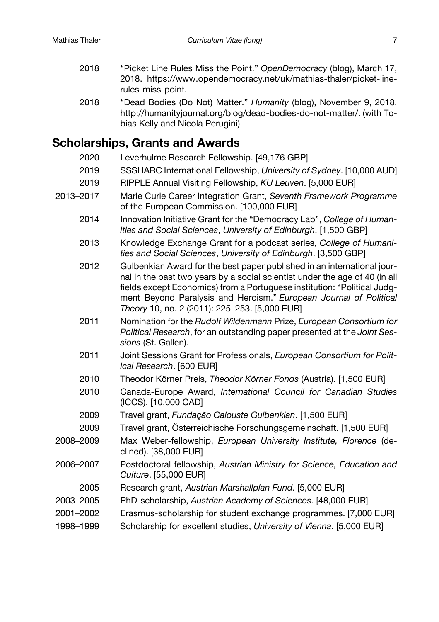- 2018 "Picket Line Rules Miss the Point." *OpenDemocracy* (blog), March 17, 2018. [https://www.opendemocracy.net/uk/mathias-thaler/picket-line](https://www.opendemocracy.net/uk/mathias-thaler/picket-line-rules-miss-point)[rules-miss-point](https://www.opendemocracy.net/uk/mathias-thaler/picket-line-rules-miss-point).
- 2018 "Dead Bodies (Do Not) Matter." *Humanity* (blog), November 9, 2018. <http://humanityjournal.org/blog/dead-bodies-do-not-matter/>. (with Tobias Kelly and Nicola Perugini)

## **Scholarships, Grants and Awards**

| 2020      | Leverhulme Research Fellowship. [49,176 GBP]                                                                                                                                                                                                                                                                                                             |
|-----------|----------------------------------------------------------------------------------------------------------------------------------------------------------------------------------------------------------------------------------------------------------------------------------------------------------------------------------------------------------|
| 2019      | SSSHARC International Fellowship, University of Sydney. [10,000 AUD]                                                                                                                                                                                                                                                                                     |
| 2019      | RIPPLE Annual Visiting Fellowship, KU Leuven. [5,000 EUR]                                                                                                                                                                                                                                                                                                |
| 2013-2017 | Marie Curie Career Integration Grant, Seventh Framework Programme<br>of the European Commission. [100,000 EUR]                                                                                                                                                                                                                                           |
| 2014      | Innovation Initiative Grant for the "Democracy Lab", College of Human-<br>ities and Social Sciences, University of Edinburgh. [1,500 GBP]                                                                                                                                                                                                                |
| 2013      | Knowledge Exchange Grant for a podcast series, College of Humani-<br>ties and Social Sciences, University of Edinburgh. [3,500 GBP]                                                                                                                                                                                                                      |
| 2012      | Gulbenkian Award for the best paper published in an international jour-<br>nal in the past two years by a social scientist under the age of 40 (in all<br>fields except Economics) from a Portuguese institution: "Political Judg-<br>ment Beyond Paralysis and Heroism." European Journal of Political<br>Theory 10, no. 2 (2011): 225-253. [5,000 EUR] |
| 2011      | Nomination for the Rudolf Wildenmann Prize, European Consortium for<br>Political Research, for an outstanding paper presented at the Joint Ses-<br>sions (St. Gallen).                                                                                                                                                                                   |
| 2011      | Joint Sessions Grant for Professionals, European Consortium for Polit-<br>ical Research. [600 EUR]                                                                                                                                                                                                                                                       |
| 2010      | Theodor Körner Preis, Theodor Körner Fonds (Austria). [1,500 EUR]                                                                                                                                                                                                                                                                                        |
| 2010      | Canada-Europe Award, International Council for Canadian Studies<br>(ICCS). [10,000 CAD]                                                                                                                                                                                                                                                                  |
| 2009      | Travel grant, Fundação Calouste Gulbenkian. [1,500 EUR]                                                                                                                                                                                                                                                                                                  |
| 2009      | Travel grant, Österreichische Forschungsgemeinschaft. [1,500 EUR]                                                                                                                                                                                                                                                                                        |
| 2008–2009 | Max Weber-fellowship, European University Institute, Florence (de-<br>clined). [38,000 EUR]                                                                                                                                                                                                                                                              |
| 2006–2007 | Postdoctoral fellowship, Austrian Ministry for Science, Education and<br>Culture. [55,000 EUR]                                                                                                                                                                                                                                                           |
| 2005      | Research grant, Austrian Marshallplan Fund. [5,000 EUR]                                                                                                                                                                                                                                                                                                  |
| 2003–2005 | PhD-scholarship, Austrian Academy of Sciences. [48,000 EUR]                                                                                                                                                                                                                                                                                              |
| 2001–2002 | Erasmus-scholarship for student exchange programmes. [7,000 EUR]                                                                                                                                                                                                                                                                                         |
| 1998-1999 | Scholarship for excellent studies, University of Vienna. [5,000 EUR]                                                                                                                                                                                                                                                                                     |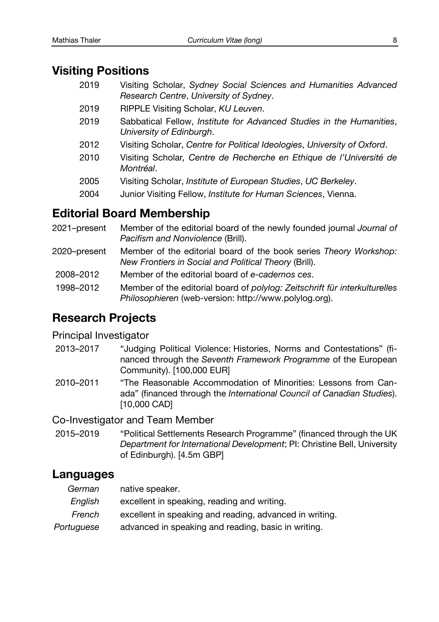## **Visiting Positions**

- 2019 Visiting Scholar, *Sydney Social Sciences and Humanities Advanced Research Centre*, *University of Sydney*.
- 2019 RIPPLE Visiting Scholar, *KU Leuven*.
- 2019 Sabbatical Fellow, *Institute for Advanced Studies in the Humanities*, *University of Edinburgh*.
- 2012 Visiting Scholar, *Centre for Political Ideologies*, *University of Oxford*.
- 2010 Visiting Scholar*, Centre de Recherche en Ethique de l'Université de Montréal*.
- 2005 Visiting Scholar, *Institute of European Studies*, *UC Berkeley*.
- 2004 Junior Visiting Fellow, *Institute for Human Sciences*, Vienna.

## **Editorial Board Membership**

- 2021–present Member of the editorial board of the newly founded journal *Journal of Pacifism and Nonviolence* (Brill).
- 2020–present Member of the editorial board of the book series *Theory Workshop: New Frontiers in Social and Political Theory* (Brill).
- 2008–2012 Member of the editorial board of *e-cadernos ces*.
- 1998–2012 Member of the editorial board of *polylog: Zeitschrift für interkulturelles Philosophieren* (web-version: http://www.polylog.org).

## **Research Projects**

### Principal Investigator

- 2013–2017 "Judging Political Violence: Histories, Norms and Contestations" (financed through the *Seventh Framework Programme* of the European Community). [100,000 EUR]
- 2010–2011 "The Reasonable Accommodation of Minorities: Lessons from Canada" (financed through the *International Council of Canadian Studies*). [10,000 CAD]

Co-Investigator and Team Member

2015–2019 "Political Settlements Research Programme" (financed through the UK *Department for International Development*; PI: Christine Bell, University of Edinburgh). [4.5m GBP]

## **Languages**

| German  | native speaker.                             |
|---------|---------------------------------------------|
| English | excellent in speaking, reading and writing. |

- *French* excellent in speaking and reading, advanced in writing.
- *Portuguese* advanced in speaking and reading, basic in writing.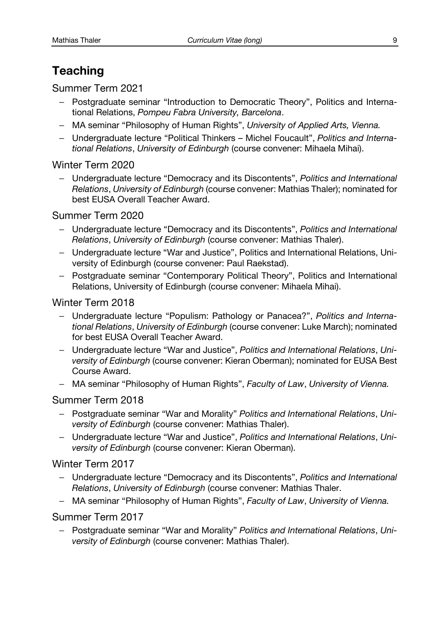## **Teaching**

Summer Term 2021

- Postgraduate seminar "Introduction to Democratic Theory", Politics and International Relations, *Pompeu Fabra University, Barcelona*.
- MA seminar "Philosophy of Human Rights", *University of Applied Arts, Vienna.*
- Undergraduate lecture "Political Thinkers Michel Foucault", *Politics and International Relations*, *University of Edinburgh* (course convener: Mihaela Mihai).

### Winter Term 2020

– Undergraduate lecture "Democracy and its Discontents", *Politics and International Relations*, *University of Edinburgh* (course convener: Mathias Thaler); nominated for best EUSA Overall Teacher Award.

### Summer Term 2020

- Undergraduate lecture "Democracy and its Discontents", *Politics and International Relations*, *University of Edinburgh* (course convener: Mathias Thaler).
- Undergraduate lecture "War and Justice", Politics and International Relations, University of Edinburgh (course convener: Paul Raekstad).
- Postgraduate seminar "Contemporary Political Theory", Politics and International Relations, University of Edinburgh (course convener: Mihaela Mihai).

### Winter Term 2018

- Undergraduate lecture "Populism: Pathology or Panacea?", *Politics and International Relations*, *University of Edinburgh* (course convener: Luke March); nominated for best EUSA Overall Teacher Award.
- Undergraduate lecture "War and Justice", *Politics and International Relations*, *University of Edinburgh* (course convener: Kieran Oberman); nominated for EUSA Best Course Award.
- MA seminar "Philosophy of Human Rights", *Faculty of Law*, *University of Vienna.*

### Summer Term 2018

- Postgraduate seminar "War and Morality" *Politics and International Relations*, *University of Edinburgh* (course convener: Mathias Thaler).
- Undergraduate lecture "War and Justice", *Politics and International Relations*, *University of Edinburgh* (course convener: Kieran Oberman).

### Winter Term 2017

- Undergraduate lecture "Democracy and its Discontents", *Politics and International Relations*, *University of Edinburgh* (course convener: Mathias Thaler.
- MA seminar "Philosophy of Human Rights", *Faculty of Law*, *University of Vienna.*

### Summer Term 2017

– Postgraduate seminar "War and Morality" *Politics and International Relations*, *University of Edinburgh* (course convener: Mathias Thaler).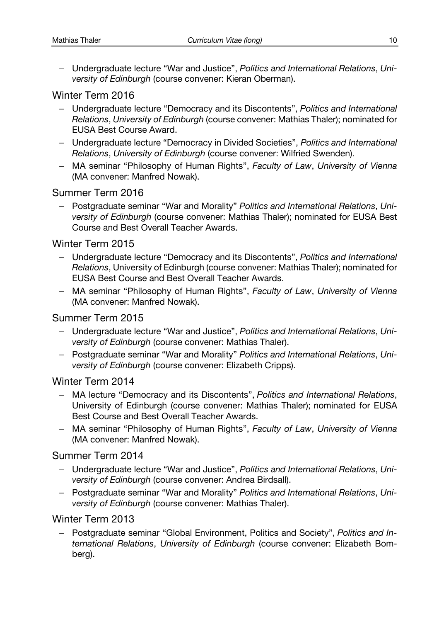– Undergraduate lecture "War and Justice", *Politics and International Relations*, *University of Edinburgh* (course convener: Kieran Oberman).

### Winter Term 2016

- Undergraduate lecture "Democracy and its Discontents", *Politics and International Relations*, *University of Edinburgh* (course convener: Mathias Thaler); nominated for EUSA Best Course Award.
- Undergraduate lecture "Democracy in Divided Societies", *Politics and International Relations*, *University of Edinburgh* (course convener: Wilfried Swenden).
- MA seminar "Philosophy of Human Rights", *Faculty of Law*, *University of Vienna* (MA convener: Manfred Nowak).

### Summer Term 2016

– Postgraduate seminar "War and Morality" *Politics and International Relations*, *University of Edinburgh* (course convener: Mathias Thaler); nominated for EUSA Best Course and Best Overall Teacher Awards.

#### Winter Term 2015

- Undergraduate lecture "Democracy and its Discontents", *Politics and International Relations*, University of Edinburgh (course convener: Mathias Thaler); nominated for EUSA Best Course and Best Overall Teacher Awards.
- MA seminar "Philosophy of Human Rights", *Faculty of Law*, *University of Vienna* (MA convener: Manfred Nowak).

### Summer Term 2015

- Undergraduate lecture "War and Justice", *Politics and International Relations*, *University of Edinburgh* (course convener: Mathias Thaler).
- Postgraduate seminar "War and Morality" *Politics and International Relations*, *University of Edinburgh* (course convener: Elizabeth Cripps).

#### Winter Term 2014

- MA lecture "Democracy and its Discontents", *Politics and International Relations*, University of Edinburgh (course convener: Mathias Thaler); nominated for EUSA Best Course and Best Overall Teacher Awards.
- MA seminar "Philosophy of Human Rights", *Faculty of Law*, *University of Vienna* (MA convener: Manfred Nowak).

### Summer Term 2014

- Undergraduate lecture "War and Justice", *Politics and International Relations*, *University of Edinburgh* (course convener: Andrea Birdsall).
- Postgraduate seminar "War and Morality" *Politics and International Relations*, *University of Edinburgh* (course convener: Mathias Thaler).

### Winter Term 2013

– Postgraduate seminar "Global Environment, Politics and Society", *Politics and International Relations*, *University of Edinburgh* (course convener: Elizabeth Bomberg).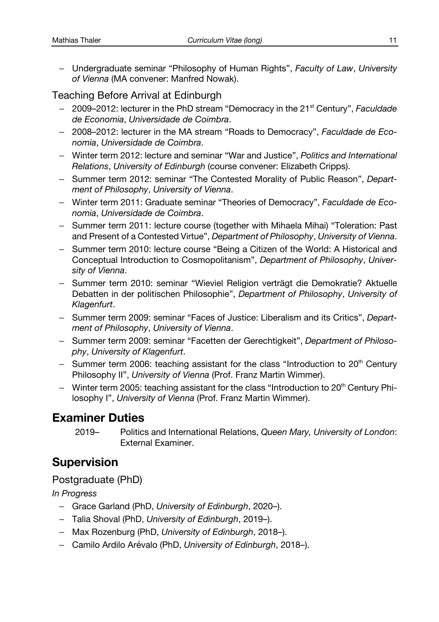– Undergraduate seminar "Philosophy of Human Rights", *Faculty of Law*, *University of Vienna* (MA convener: Manfred Nowak).

## Teaching Before Arrival at Edinburgh

- 2009–2012: lecturer in the PhD stream "Democracy in the 21st Century", *Faculdade de Economia*, *Universidade de Coimbra*.
- 2008–2012: lecturer in the MA stream "Roads to Democracy", *Faculdade de Economia*, *Universidade de Coimbra*.
- Winter term 2012: lecture and seminar "War and Justice", *Politics and International Relations*, *University of Edinburgh* (course convener: Elizabeth Cripps).
- Summer term 2012: seminar "The Contested Morality of Public Reason", *Department of Philosophy*, *University of Vienna*.
- Winter term 2011: Graduate seminar "Theories of Democracy", *Faculdade de Economia*, *Universidade de Coimbra*.
- Summer term 2011: lecture course (together with Mihaela Mihai) "Toleration: Past and Present of a Contested Virtue", *Department of Philosophy*, *University of Vienna*.
- Summer term 2010: lecture course "Being a Citizen of the World: A Historical and Conceptual Introduction to Cosmopolitanism", *Department of Philosophy*, *University of Vienna*.
- Summer term 2010: seminar "Wieviel Religion verträgt die Demokratie? Aktuelle Debatten in der politischen Philosophie", *Department of Philosophy*, *University of Klagenfurt*.
- Summer term 2009: seminar "Faces of Justice: Liberalism and its Critics", *Department of Philosophy*, *University of Vienna*.
- Summer term 2009: seminar "Facetten der Gerechtigkeit", *Department of Philosophy*, *University of Klagenfurt*.
- Summer term 2006: teaching assistant for the class "Introduction to  $20<sup>th</sup>$  Century Philosophy II", *University of Vienna* (Prof. Franz Martin Wimmer).
- Winter term 2005: teaching assistant for the class "Introduction to  $20<sup>th</sup>$  Century Philosophy I", *University of Vienna* (Prof. Franz Martin Wimmer).

## **Examiner Duties**

2019– Politics and International Relations, *Queen Mary, University of London*: External Examiner.

## **Supervision**

### Postgraduate (PhD)

*In Progress*

- Grace Garland (PhD, *University of Edinburgh*, 2020–).
- Talia Shoval (PhD, *University of Edinburgh*, 2019–).
- Max Rozenburg (PhD, *University of Edinburgh*, 2018–).
- Camilo Ardilo Arévalo (PhD, *University of Edinburgh*, 2018–).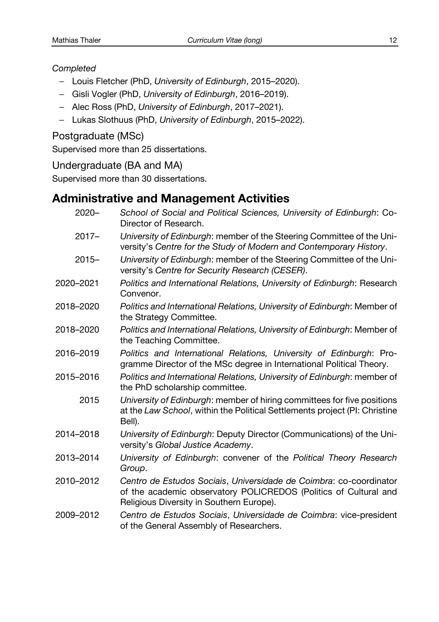#### *Completed*

- Louis Fletcher (PhD, *University of Edinburgh*, 2015–2020).
- Gisli Vogler (PhD, *University of Edinburgh*, 2016–2019).
- Alec Ross (PhD, *University of Edinburgh*, 2017–2021).
- Lukas Slothuus (PhD, *University of Edinburgh*, 2015–2022).

## Postgraduate (MSc)

Supervised more than 25 dissertations.

### Undergraduate (BA and MA)

Supervised more than 30 dissertations.

## **Administrative and Management Activities**

| 2020-     | School of Social and Political Sciences, University of Edinburgh: Co-<br>Director of Research.                                                                                     |
|-----------|------------------------------------------------------------------------------------------------------------------------------------------------------------------------------------|
| $2017 -$  | University of Edinburgh: member of the Steering Committee of the Uni-<br>versity's Centre for the Study of Modern and Contemporary History.                                        |
| $2015 -$  | University of Edinburgh: member of the Steering Committee of the Uni-<br>versity's Centre for Security Research (CESER).                                                           |
| 2020-2021 | Politics and International Relations, University of Edinburgh: Research<br>Convenor.                                                                                               |
| 2018–2020 | Politics and International Relations, University of Edinburgh: Member of<br>the Strategy Committee.                                                                                |
| 2018–2020 | Politics and International Relations, University of Edinburgh: Member of<br>the Teaching Committee.                                                                                |
| 2016–2019 | Politics and International Relations, University of Edinburgh: Pro-<br>gramme Director of the MSc degree in International Political Theory.                                        |
| 2015-2016 | Politics and International Relations, University of Edinburgh: member of<br>the PhD scholarship committee.                                                                         |
| 2015      | University of Edinburgh: member of hiring committees for five positions<br>at the Law School, within the Political Settlements project (PI: Christine<br>Bell).                    |
| 2014–2018 | University of Edinburgh: Deputy Director (Communications) of the Uni-<br>versity's Global Justice Academy.                                                                         |
| 2013–2014 | University of Edinburgh: convener of the Political Theory Research<br>Group.                                                                                                       |
| 2010-2012 | Centro de Estudos Sociais, Universidade de Coimbra: co-coordinator<br>of the academic observatory POLICREDOS (Politics of Cultural and<br>Religious Diversity in Southern Europe). |
| 2009–2012 | Centro de Estudos Sociais, Universidade de Coimbra: vice-president<br>of the General Assembly of Researchers.                                                                      |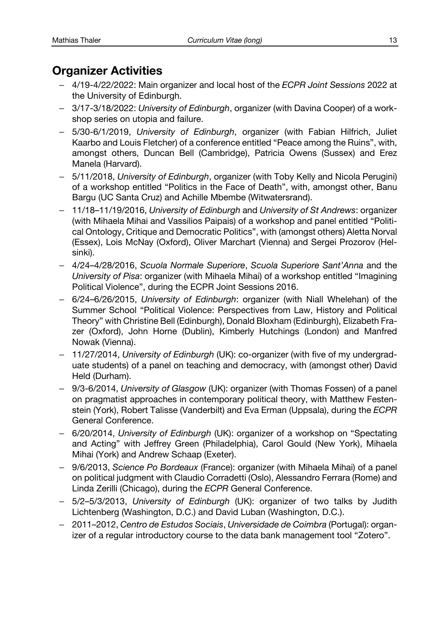## **Organizer Activities**

- 4/19-4/22/2022: Main organizer and local host of the *ECPR Joint Sessions* 2022 at the University of Edinburgh.
- 3/17-3/18/2022: *University of Edinburgh*, organizer (with Davina Cooper) of a workshop series on utopia and failure.
- 5/30-6/1/2019, *University of Edinburgh*, organizer (with Fabian Hilfrich, Juliet Kaarbo and Louis Fletcher) of a conference entitled "Peace among the Ruins", with, amongst others, Duncan Bell (Cambridge), Patricia Owens (Sussex) and Erez Manela (Harvard).
- 5/11/2018, *University of Edinburgh*, organizer (with Toby Kelly and Nicola Perugini) of a workshop entitled "Politics in the Face of Death", with, amongst other, Banu Bargu (UC Santa Cruz) and Achille Mbembe (Witwatersrand).
- 11/18–11/19/2016, *University of Edinburgh* and *University of St Andrews*: organizer (with Mihaela Mihai and Vassilios Paipais) of a workshop and panel entitled "Political Ontology, Critique and Democratic Politics", with (amongst others) Aletta Norval (Essex), Lois McNay (Oxford), Oliver Marchart (Vienna) and Sergei Prozorov (Helsinki).
- 4/24–4/28/2016, *Scuola Normale Superiore*, *Scuola Superiore Sant'Anna* and the *University of Pisa*: organizer (with Mihaela Mihai) of a workshop entitled "Imagining Political Violence", during the ECPR Joint Sessions 2016.
- 6/24–6/26/2015, *University of Edinburgh*: organizer (with Niall Whelehan) of the Summer School "Political Violence: Perspectives from Law, History and Political Theory" with Christine Bell (Edinburgh), Donald Bloxham (Edinburgh), Elizabeth Frazer (Oxford), John Horne (Dublin), Kimberly Hutchings (London) and Manfred Nowak (Vienna).
- 11/27/2014, *University of Edinburgh* (UK): co-organizer (with five of my undergraduate students) of a panel on teaching and democracy, with (amongst other) David Held (Durham).
- 9/3-6/2014, *University of Glasgow* (UK): organizer (with Thomas Fossen) of a panel on pragmatist approaches in contemporary political theory, with Matthew Festenstein (York), Robert Talisse (Vanderbilt) and Eva Erman (Uppsala), during the *ECPR*  General Conference.
- 6/20/2014, *University of Edinburgh* (UK): organizer of a workshop on "Spectating and Acting" with Jeffrey Green (Philadelphia), Carol Gould (New York), Mihaela Mihai (York) and Andrew Schaap (Exeter).
- 9/6/2013, *Science Po Bordeaux* (France): organizer (with Mihaela Mihai) of a panel on political judgment with Claudio Corradetti (Oslo), Alessandro Ferrara (Rome) and Linda Zerilli (Chicago), during the *ECPR* General Conference.
- 5/2–5/3/2013, *University of Edinburgh* (UK): organizer of two talks by Judith Lichtenberg (Washington, D.C.) and David Luban (Washington, D.C.).
- 2011–2012, *Centro de Estudos Sociais*, *Universidade de Coimbra* (Portugal): organizer of a regular introductory course to the data bank management tool "Zotero".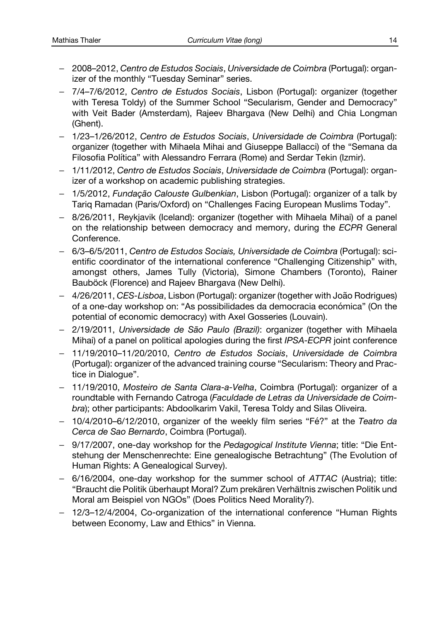- 2008–2012, *Centro de Estudos Sociais*, *Universidade de Coimbra* (Portugal): organizer of the monthly "Tuesday Seminar" series.
- 7/4–7/6/2012, *Centro de Estudos Sociais*, Lisbon (Portugal): organizer (together with Teresa Toldy) of the Summer School "Secularism, Gender and Democracy" with Veit Bader (Amsterdam), Rajeev Bhargava (New Delhi) and Chia Longman (Ghent).
- 1/23–1/26/2012, *Centro de Estudos Sociais*, *Universidade de Coimbra* (Portugal): organizer (together with Mihaela Mihai and Giuseppe Ballacci) of the "Semana da Filosofia Política" with Alessandro Ferrara (Rome) and Serdar Tekin (Izmir).
- 1/11/2012, *Centro de Estudos Sociais*, *Universidade de Coimbra* (Portugal): organizer of a workshop on academic publishing strategies.
- 1/5/2012, *Fundação Calouste Gulbenkian*, Lisbon (Portugal): organizer of a talk by Tariq Ramadan (Paris/Oxford) on "Challenges Facing European Muslims Today".
- 8/26/2011, Reykjavik (Iceland): organizer (together with Mihaela Mihai) of a panel on the relationship between democracy and memory, during the *ECPR* General Conference.
- 6/3–6/5/2011, *Centro de Estudos Sociais, Universidade de Coimbra* (Portugal): scientific coordinator of the international conference "Challenging Citizenship" with, amongst others, James Tully (Victoria), Simone Chambers (Toronto), Rainer Bauböck (Florence) and Rajeev Bhargava (New Delhi).
- 4/26/2011, *CES-Lisboa*, Lisbon (Portugal): organizer (together with João Rodrigues) of a one-day workshop on: "As possibilidades da democracia económica" (On the potential of economic democracy) with Axel Gosseries (Louvain).
- 2/19/2011, *Universidade de São Paulo (Brazil)*: organizer (together with Mihaela Mihai) of a panel on political apologies during the first *IPSA-ECPR* joint conference
- 11/19/2010–11/20/2010, *Centro de Estudos Sociais*, *Universidade de Coimbra* (Portugal): organizer of the advanced training course "Secularism: Theory and Practice in Dialogue".
- 11/19/2010, *Mosteiro de Santa Clara-a-Velha*, Coimbra (Portugal): organizer of a roundtable with Fernando Catroga (*Faculdade de Letras da Universidade de Coimbra*); other participants: Abdoolkarim Vakil, Teresa Toldy and Silas Oliveira.
- 10/4/2010–6/12/2010, organizer of the weekly film series "Fé?" at the *Teatro da Cerca de Sao Bernardo*, Coimbra (Portugal).
- 9/17/2007, one-day workshop for the *Pedagogical Institute Vienna*; title: "Die Entstehung der Menschenrechte: Eine genealogische Betrachtung" (The Evolution of Human Rights: A Genealogical Survey).
- 6/16/2004, one-day workshop for the summer school of *ATTAC* (Austria); title: "Braucht die Politik überhaupt Moral? Zum prekären Verhältnis zwischen Politik und Moral am Beispiel von NGOs" (Does Politics Need Morality?).
- 12/3–12/4/2004, Co-organization of the international conference "Human Rights between Economy, Law and Ethics" in Vienna.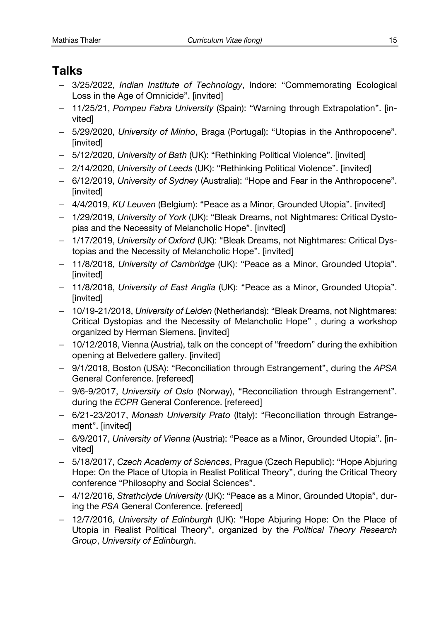## **Talks**

- 3/25/2022, *Indian Institute of Technology*, Indore: "Commemorating Ecological Loss in the Age of Omnicide". [invited]
- 11/25/21, *Pompeu Fabra University* (Spain): "Warning through Extrapolation". [invited]
- 5/29/2020, *University of Minho*, Braga (Portugal): "Utopias in the Anthropocene". [invited]
- 5/12/2020, *University of Bath* (UK): "Rethinking Political Violence". [invited]
- 2/14/2020, *University of Leeds* (UK): "Rethinking Political Violence". [invited]
- 6/12/2019, *University of Sydney* (Australia): "Hope and Fear in the Anthropocene". [invited]
- 4/4/2019, *KU Leuven* (Belgium): "Peace as a Minor, Grounded Utopia". [invited]
- 1/29/2019, *University of York* (UK): "Bleak Dreams, not Nightmares: Critical Dystopias and the Necessity of Melancholic Hope". [invited]
- 1/17/2019, *University of Oxford* (UK): "Bleak Dreams, not Nightmares: Critical Dystopias and the Necessity of Melancholic Hope". [invited]
- 11/8/2018, *University of Cambridge* (UK): "Peace as a Minor, Grounded Utopia". [invited]
- 11/8/2018, *University of East Anglia* (UK): "Peace as a Minor, Grounded Utopia". [invited]
- 10/19-21/2018, *University of Leiden* (Netherlands): "Bleak Dreams, not Nightmares: Critical Dystopias and the Necessity of Melancholic Hope" , during a workshop organized by Herman Siemens. [invited]
- 10/12/2018, Vienna (Austria), talk on the concept of "freedom" during the exhibition opening at Belvedere gallery. [invited]
- 9/1/2018, Boston (USA): "Reconciliation through Estrangement", during the *APSA* General Conference. [refereed]
- 9/6-9/2017, *University of Oslo* (Norway), "Reconciliation through Estrangement". during the *ECPR* General Conference. [refereed]
- 6/21-23/2017, *Monash University Prato* (Italy): "Reconciliation through Estrangement". [invited]
- 6/9/2017, *University of Vienna* (Austria): "Peace as a Minor, Grounded Utopia". [invited]
- 5/18/2017, *Czech Academy of Sciences*, Prague (Czech Republic): "Hope Abjuring Hope: On the Place of Utopia in Realist Political Theory", during the Critical Theory conference "Philosophy and Social Sciences".
- 4/12/2016, *Strathclyde University* (UK): "Peace as a Minor, Grounded Utopia", during the *PSA* General Conference. [refereed]
- 12/7/2016, *University of Edinburgh* (UK): "Hope Abjuring Hope: On the Place of Utopia in Realist Political Theory", organized by the *Political Theory Research Group*, *University of Edinburgh*.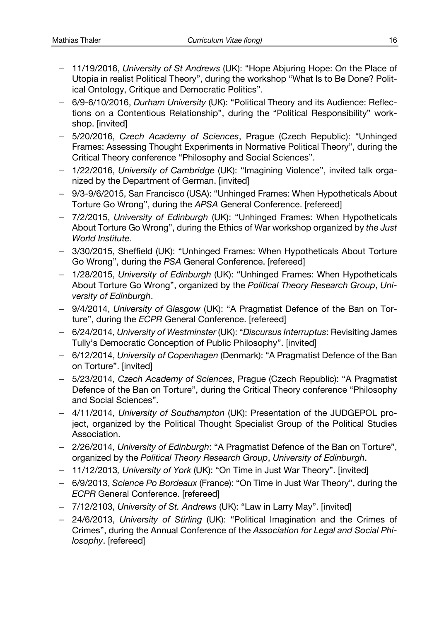- 11/19/2016, *University of St Andrews* (UK): "Hope Abjuring Hope: On the Place of Utopia in realist Political Theory", during the workshop "What Is to Be Done? Political Ontology, Critique and Democratic Politics".
- 6/9-6/10/2016, *Durham University* (UK): "Political Theory and its Audience: Reflections on a Contentious Relationship", during the "Political Responsibility" workshop. [invited]
- 5/20/2016, *Czech Academy of Sciences*, Prague (Czech Republic): "Unhinged Frames: Assessing Thought Experiments in Normative Political Theory", during the Critical Theory conference "Philosophy and Social Sciences".
- 1/22/2016, *University of Cambridge* (UK): "Imagining Violence", invited talk organized by the Department of German. [invited]
- 9/3-9/6/2015, San Francisco (USA): "Unhinged Frames: When Hypotheticals About Torture Go Wrong", during the *APSA* General Conference. [refereed]
- 7/2/2015, *University of Edinburgh* (UK): "Unhinged Frames: When Hypotheticals About Torture Go Wrong", during the Ethics of War workshop organized by *the Just World Institute*.
- 3/30/2015, Sheffield (UK): "Unhinged Frames: When Hypotheticals About Torture Go Wrong", during the *PSA* General Conference. [refereed]
- 1/28/2015, *University of Edinburgh* (UK): "Unhinged Frames: When Hypotheticals About Torture Go Wrong", organized by the *Political Theory Research Group*, *University of Edinburgh*.
- 9/4/2014, *University of Glasgow* (UK): "A Pragmatist Defence of the Ban on Torture", during the *ECPR* General Conference. [refereed]
- 6/24/2014, *University of Westminster* (UK): "*Discursus Interruptus*: Revisiting James Tully's Democratic Conception of Public Philosophy". [invited]
- 6/12/2014, *University of Copenhagen* (Denmark): "A Pragmatist Defence of the Ban on Torture". [invited]
- 5/23/2014, *Czech Academy of Sciences*, Prague (Czech Republic): "A Pragmatist Defence of the Ban on Torture", during the Critical Theory conference "Philosophy and Social Sciences".
- 4/11/2014, *University of Southampton* (UK): Presentation of the JUDGEPOL project, organized by the Political Thought Specialist Group of the Political Studies Association.
- 2/26/2014, *University of Edinburgh*: "A Pragmatist Defence of the Ban on Torture", organized by the *Political Theory Research Group*, *University of Edinburgh*.
- 11/12/2013*, University of York* (UK): "On Time in Just War Theory". [invited]
- 6/9/2013, *Science Po Bordeaux* (France): "On Time in Just War Theory", during the *ECPR* General Conference. [refereed]
- 7/12/2103, *University of St. Andrews* (UK): "Law in Larry May". [invited]
- 24/6/2013, *University of Stirling* (UK): "Political Imagination and the Crimes of Crimes", during the Annual Conference of the *Association for Legal and Social Philosophy*. [refereed]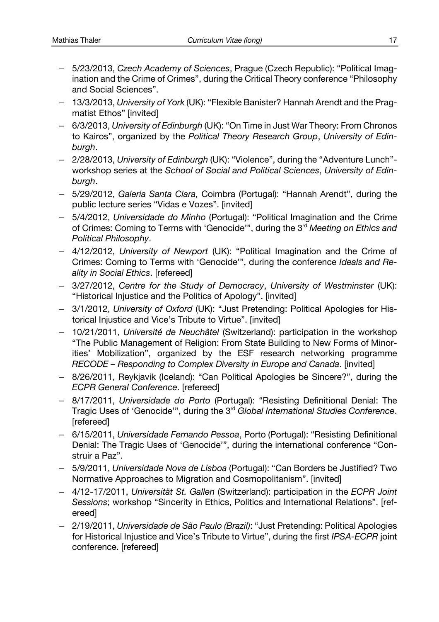- 5/23/2013, *Czech Academy of Sciences*, Prague (Czech Republic): "Political Imagination and the Crime of Crimes", during the Critical Theory conference "Philosophy and Social Sciences".
- 13/3/2013, *University of York* (UK): "Flexible Banister? Hannah Arendt and the Pragmatist Ethos" [invited]
- 6/3/2013, *University of Edinburgh* (UK): "On Time in Just War Theory: From Chronos to Kairos", organized by the *Political Theory Research Group*, *University of Edinburgh*.
- 2/28/2013, *University of Edinburgh* (UK): "Violence", during the "Adventure Lunch" workshop series at the *School of Social and Political Sciences*, *University of Edinburgh*.
- 5/29/2012, *Galeria Santa Clara,* Coimbra (Portugal): "Hannah Arendt", during the public lecture series "Vidas e Vozes". [invited]
- 5/4/2012, *Universidade do Minho* (Portugal): "Political Imagination and the Crime of Crimes: Coming to Terms with 'Genocide'", during the 3rd *Meeting on Ethics and Political Philosophy*.
- 4/12/2012, *University of Newport* (UK): "Political Imagination and the Crime of Crimes: Coming to Terms with 'Genocide'", during the conference *Ideals and Reality in Social Ethics*. [refereed]
- 3/27/2012, *Centre for the Study of Democracy*, *University of Westminster* (UK): "Historical Injustice and the Politics of Apology". [invited]
- 3/1/2012, *University of Oxford* (UK): "Just Pretending: Political Apologies for Historical Injustice and Vice's Tribute to Virtue". [invited]
- 10/21/2011, *Université de Neuchâtel* (Switzerland): participation in the workshop "The Public Management of Religion: From State Building to New Forms of Minorities' Mobilization", organized by the ESF research networking programme *RECODE – Responding to Complex Diversity in Europe and Canada*. [invited]
- 8/26/2011, Reykjavik (Iceland): "Can Political Apologies be Sincere?", during the *ECPR General Conference*. [refereed]
- 8/17/2011, *Universidade do Porto* (Portugal): "Resisting Definitional Denial: The Tragic Uses of 'Genocide'", during the 3rd *Global International Studies Conference*. [refereed]
- 6/15/2011, *Universidade Fernando Pessoa*, Porto (Portugal): "Resisting Definitional Denial: The Tragic Uses of 'Genocide'", during the international conference "Construir a Paz".
- 5/9/2011, *Universidade Nova de Lisboa* (Portugal): "Can Borders be Justified? Two Normative Approaches to Migration and Cosmopolitanism". [invited]
- 4/12-17/2011, *Universität St. Gallen* (Switzerland): participation in the *ECPR Joint Sessions*; workshop "Sincerity in Ethics, Politics and International Relations". [refereed]
- 2/19/2011, *Universidade de São Paulo (Brazil)*: "Just Pretending: Political Apologies for Historical Injustice and Vice's Tribute to Virtue", during the first *IPSA-ECPR* joint conference. [refereed]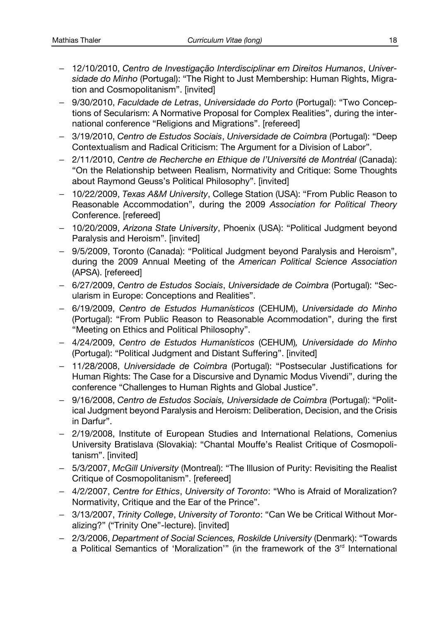- 12/10/2010, *Centro de Investigação Interdisciplinar em Direitos Humanos*, *Universidade do Minho* (Portugal): "The Right to Just Membership: Human Rights, Migration and Cosmopolitanism". [invited]
- 9/30/2010, *Faculdade de Letras*, *Universidade do Porto* (Portugal): "Two Conceptions of Secularism: A Normative Proposal for Complex Realities", during the international conference "Religions and Migrations". [refereed]
- 3/19/2010, *Centro de Estudos Sociais*, *Universidade de Coimbra* (Portugal): "Deep Contextualism and Radical Criticism: The Argument for a Division of Labor".
- 2/11/2010, *Centre de Recherche en Ethique de l'Université de Montréal* (Canada): "On the Relationship between Realism, Normativity and Critique: Some Thoughts about Raymond Geuss's Political Philosophy". [invited]
- 10/22/2009, *Texas A&M University*, College Station (USA): "From Public Reason to Reasonable Accommodation", during the 2009 *Association for Political Theory*  Conference. [refereed]
- 10/20/2009, *Arizona State University*, Phoenix (USA): "Political Judgment beyond Paralysis and Heroism". [invited]
- 9/5/2009, Toronto (Canada): "Political Judgment beyond Paralysis and Heroism", during the 2009 Annual Meeting of the *American Political Science Association* (APSA). [refereed]
- 6/27/2009, *Centro de Estudos Sociais*, *Universidade de Coimbra* (Portugal): "Secularism in Europe: Conceptions and Realities".
- 6/19/2009, *Centro de Estudos Humanísticos* (CEHUM), *Universidade do Minho* (Portugal): "From Public Reason to Reasonable Acommodation", during the first "Meeting on Ethics and Political Philosophy".
- 4/24/2009, *Centro de Estudos Humanísticos* (CEHUM)*, Universidade do Minho*  (Portugal): "Political Judgment and Distant Suffering". [invited]
- 11/28/2008, *Universidade de Coimbra* (Portugal): "Postsecular Justifications for Human Rights: The Case for a Discursive and Dynamic Modus Vivendi", during the conference "Challenges to Human Rights and Global Justice".
- 9/16/2008, *Centro de Estudos Sociais, Universidade de Coimbra* (Portugal): "Political Judgment beyond Paralysis and Heroism: Deliberation, Decision, and the Crisis in Darfur".
- 2/19/2008, Institute of European Studies and International Relations, Comenius University Bratislava (Slovakia): "Chantal Mouffe's Realist Critique of Cosmopolitanism". [invited]
- 5/3/2007, *McGill University* (Montreal): "The Illusion of Purity: Revisiting the Realist Critique of Cosmopolitanism". [refereed]
- 4/2/2007, *Centre for Ethics*, *University of Toronto*: "Who is Afraid of Moralization? Normativity, Critique and the Ear of the Prince".
- 3/13/2007, *Trinity College*, *University of Toronto*: "Can We be Critical Without Moralizing?" ("Trinity One"-lecture). [invited]
- 2/3/2006, *Department of Social Sciences, Roskilde University* (Denmark): "Towards a Political Semantics of 'Moralization'" (in the framework of the 3<sup>rd</sup> International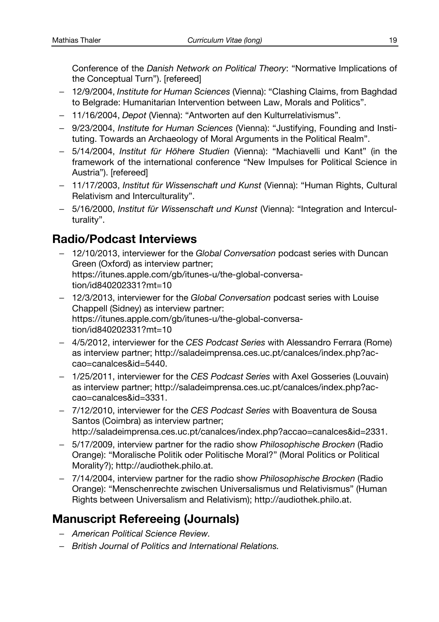Conference of the *Danish Network on Political Theory*: "Normative Implications of the Conceptual Turn"). [refereed]

- 12/9/2004, *Institute for Human Sciences* (Vienna): "Clashing Claims, from Baghdad to Belgrade: Humanitarian Intervention between Law, Morals and Politics".
- 11/16/2004, *Depot* (Vienna): "Antworten auf den Kulturrelativismus".
- 9/23/2004, *Institute for Human Sciences* (Vienna): "Justifying, Founding and Instituting. Towards an Archaeology of Moral Arguments in the Political Realm".
- 5/14/2004, *Institut für Höhere Studien* (Vienna): "Machiavelli und Kant" (in the framework of the international conference "New Impulses for Political Science in Austria"). [refereed]
- 11/17/2003, *Institut für Wissenschaft und Kunst* (Vienna): "Human Rights, Cultural Relativism and Interculturality".
- 5/16/2000, *Institut für Wissenschaft und Kunst* (Vienna): "Integration and Interculturality".

## **Radio/Podcast Interviews**

- 12/10/2013, interviewer for the *Global Conversation* podcast series with Duncan Green (Oxford) as interview partner; https://itunes.apple.com/gb/itunes-u/the-global-conversation/id840202331?mt=10
- 12/3/2013, interviewer for the *Global Conversation* podcast series with Louise Chappell (Sidney) as interview partner: https://itunes.apple.com/gb/itunes-u/the-global-conversation/id840202331?mt=10
- 4/5/2012, interviewer for the *CES Podcast Series* with Alessandro Ferrara (Rome) as interview partner; http://saladeimprensa.ces.uc.pt/canalces/index.php?accao=canalces&id=5440.
- 1/25/2011, interviewer for the *CES Podcast Series* with Axel Gosseries (Louvain) as interview partner; http://saladeimprensa.ces.uc.pt/canalces/index.php?accao=canalces&id=3331.
- 7/12/2010, interviewer for the *CES Podcast Series* with Boaventura de Sousa Santos (Coimbra) as interview partner; http://saladeimprensa.ces.uc.pt/canalces/index.php?accao=canalces&id=2331.
- 5/17/2009, interview partner for the radio show *Philosophische Brocken* (Radio Orange): "Moralische Politik oder Politische Moral?" (Moral Politics or Political Morality?); http://audiothek.philo.at.
- 7/14/2004, interview partner for the radio show *Philosophische Brocken* (Radio Orange): "Menschenrechte zwischen Universalismus und Relativismus" (Human Rights between Universalism and Relativism); http://audiothek.philo.at.

## **Manuscript Refereeing (Journals)**

- *American Political Science Review.*
- *British Journal of Politics and International Relations.*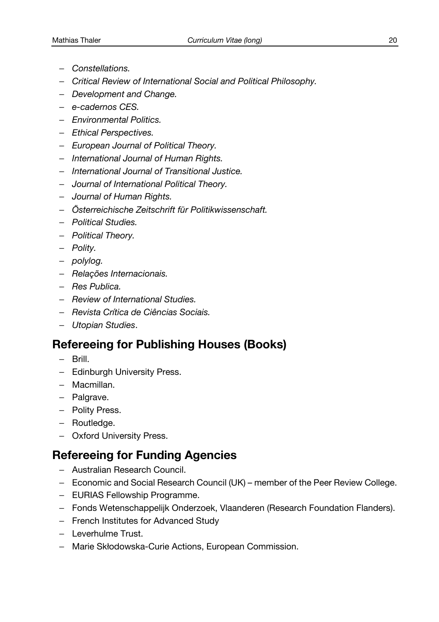- *Constellations.*
- *Critical Review of International Social and Political Philosophy.*
- *Development and Change.*
- *e-cadernos CES.*
- *Environmental Politics.*
- *Ethical Perspectives.*
- *European Journal of Political Theory.*
- *International Journal of Human Rights.*
- *International Journal of Transitional Justice.*
- *Journal of International Political Theory.*
- *Journal of Human Rights.*
- *Österreichische Zeitschrift für Politikwissenschaft.*
- *Political Studies.*
- *Political Theory.*
- *Polity.*
- *polylog.*
- *Relações Internacionais.*
- *Res Publica.*
- *Review of International Studies.*
- *Revista Crítica de Ciências Sociais.*
- *Utopian Studies*.

## **Refereeing for Publishing Houses (Books)**

- Brill.
- Edinburgh University Press.
- Macmillan.
- Palgrave.
- Polity Press.
- Routledge.
- Oxford University Press.

## **Refereeing for Funding Agencies**

- Australian Research Council.
- Economic and Social Research Council (UK) member of the Peer Review College.
- EURIAS Fellowship Programme.
- Fonds Wetenschappelijk Onderzoek, Vlaanderen (Research Foundation Flanders).
- French Institutes for Advanced Study
- Leverhulme Trust.
- Marie Skłodowska-Curie Actions, European Commission.